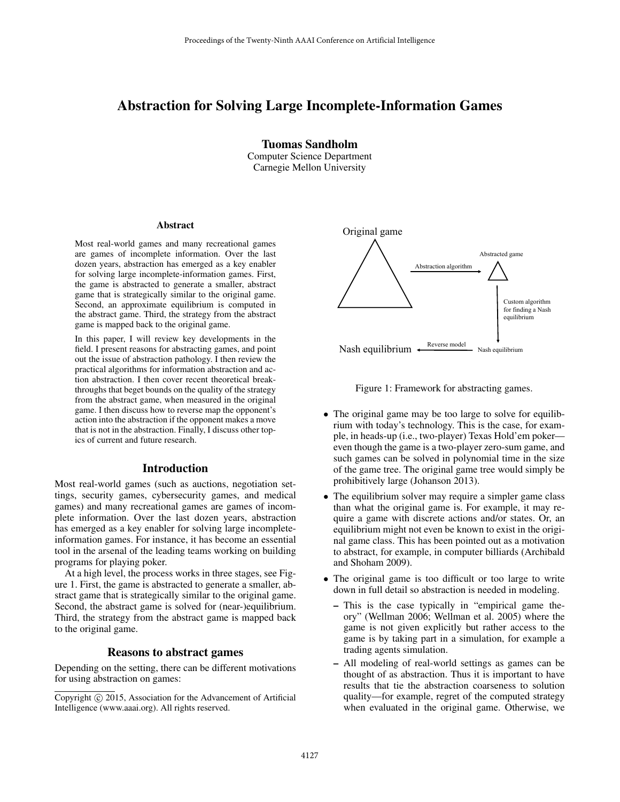# Abstraction for Solving Large Incomplete-Information Games

Tuomas Sandholm Computer Science Department Carnegie Mellon University

#### Abstract

Most real-world games and many recreational games are games of incomplete information. Over the last dozen years, abstraction has emerged as a key enabler for solving large incomplete-information games. First, the game is abstracted to generate a smaller, abstract game that is strategically similar to the original game. Second, an approximate equilibrium is computed in the abstract game. Third, the strategy from the abstract game is mapped back to the original game.

In this paper, I will review key developments in the field. I present reasons for abstracting games, and point out the issue of abstraction pathology. I then review the practical algorithms for information abstraction and action abstraction. I then cover recent theoretical breakthroughs that beget bounds on the quality of the strategy from the abstract game, when measured in the original game. I then discuss how to reverse map the opponent's action into the abstraction if the opponent makes a move that is not in the abstraction. Finally, I discuss other topics of current and future research.

#### Introduction

Most real-world games (such as auctions, negotiation settings, security games, cybersecurity games, and medical games) and many recreational games are games of incomplete information. Over the last dozen years, abstraction has emerged as a key enabler for solving large incompleteinformation games. For instance, it has become an essential tool in the arsenal of the leading teams working on building programs for playing poker. field. I present ransons for abstraction pathology at many cases and point in the mixture of abstraction pathology. Then review the<br>practical data through that begins the function base of abstraction pathology. Then cover

At a high level, the process works in three stages, see Figure 1. First, the game is abstracted to generate a smaller, abstract game that is strategically similar to the original game. Second, the abstract game is solved for (near-)equilibrium. Third, the strategy from the abstract game is mapped back to the original game.

#### Reasons to abstract games

Depending on the setting, there can be different motivations for using abstraction on games:



Figure 1: Framework for abstracting games.

- The original game may be too large to solve for equilibrium with today's technology. This is the case, for example, in heads-up (i.e., two-player) Texas Hold'em poker even though the game is a two-player zero-sum game, and such games can be solved in polynomial time in the size of the game tree. The original game tree would simply be prohibitively large (Johanson 2013).
- The equilibrium solver may require a simpler game class than what the original game is. For example, it may require a game with discrete actions and/or states. Or, an equilibrium might not even be known to exist in the original game class. This has been pointed out as a motivation to abstract, for example, in computer billiards (Archibald and Shoham 2009).
- The original game is too difficult or too large to write down in full detail so abstraction is needed in modeling.
	- This is the case typically in "empirical game theory" (Wellman 2006; Wellman et al. 2005) where the game is not given explicitly but rather access to the game is by taking part in a simulation, for example a trading agents simulation.
	- All modeling of real-world settings as games can be thought of as abstraction. Thus it is important to have results that tie the abstraction coarseness to solution quality—for example, regret of the computed strategy when evaluated in the original game. Otherwise, we

Copyright © 2015, Association for the Advancement of Artificial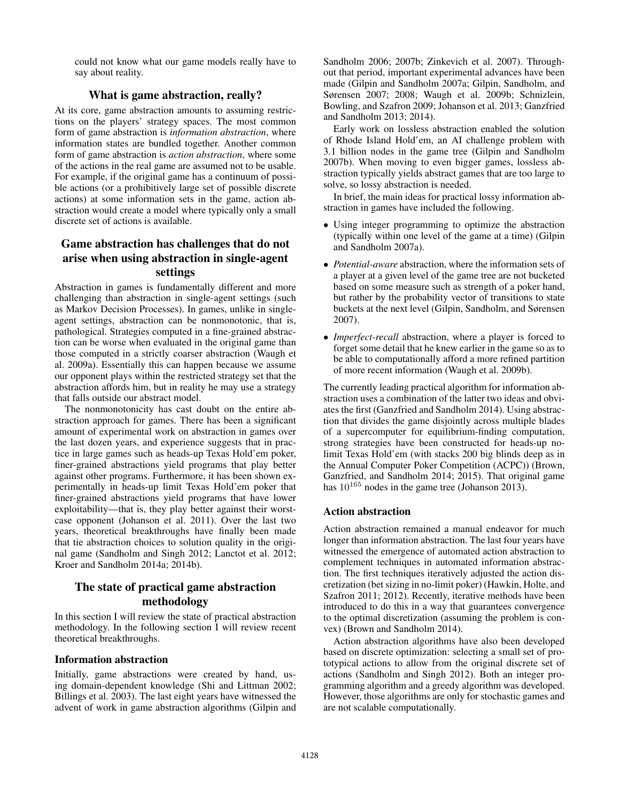could not know what our game models really have to say about reality.

## What is game abstraction, really?

At its core, game abstraction amounts to assuming restrictions on the players' strategy spaces. The most common form of game abstraction is *information abstraction*, where information states are bundled together. Another common form of game abstraction is *action abstraction*, where some of the actions in the real game are assumed not to be usable. For example, if the original game has a continuum of possible actions (or a prohibitively large set of possible discrete actions) at some information sets in the game, action abstraction would create a model where typically only a small discrete set of actions is available.

# Game abstraction has challenges that do not arise when using abstraction in single-agent settings

Abstraction in games is fundamentally different and more challenging than abstraction in single-agent settings (such as Markov Decision Processes). In games, unlike in singleagent settings, abstraction can be nonmonotonic, that is, pathological. Strategies computed in a fine-grained abstraction can be worse when evaluated in the original game than those computed in a strictly coarser abstraction (Waugh et al. 2009a). Essentially this can happen because we assume our opponent plays within the restricted strategy set that the abstraction affords him, but in reality he may use a strategy that falls outside our abstract model.

The nonmonotonicity has cast doubt on the entire abstraction approach for games. There has been a significant amount of experimental work on abstraction in games over the last dozen years, and experience suggests that in practice in large games such as heads-up Texas Hold'em poker, finer-grained abstractions yield programs that play better against other programs. Furthermore, it has been shown experimentally in heads-up limit Texas Hold'em poker that finer-grained abstractions yield programs that have lower exploitability—that is, they play better against their worstcase opponent (Johanson et al. 2011). Over the last two years, theoretical breakthroughs have finally been made that tie abstraction choices to solution quality in the original game (Sandholm and Singh 2012; Lanctot et al. 2012; Kroer and Sandholm 2014a; 2014b).

# The state of practical game abstraction methodology

In this section I will review the state of practical abstraction methodology. In the following section I will review recent theoretical breakthroughs.

## Information abstraction

Initially, game abstractions were created by hand, using domain-dependent knowledge (Shi and Littman 2002; Billings et al. 2003). The last eight years have witnessed the advent of work in game abstraction algorithms (Gilpin and

Sandholm 2006; 2007b; Zinkevich et al. 2007). Throughout that period, important experimental advances have been made (Gilpin and Sandholm 2007a; Gilpin, Sandholm, and Sørensen 2007; 2008; Waugh et al. 2009b; Schnizlein, Bowling, and Szafron 2009; Johanson et al. 2013; Ganzfried and Sandholm 2013; 2014).

Early work on lossless abstraction enabled the solution of Rhode Island Hold'em, an AI challenge problem with 3.1 billion nodes in the game tree (Gilpin and Sandholm 2007b). When moving to even bigger games, lossless abstraction typically yields abstract games that are too large to solve, so lossy abstraction is needed.

In brief, the main ideas for practical lossy information abstraction in games have included the following.

- Using integer programming to optimize the abstraction (typically within one level of the game at a time) (Gilpin and Sandholm 2007a).
- *Potential-aware* abstraction, where the information sets of a player at a given level of the game tree are not bucketed based on some measure such as strength of a poker hand, but rather by the probability vector of transitions to state buckets at the next level (Gilpin, Sandholm, and Sørensen 2007).
- *Imperfect-recall* abstraction, where a player is forced to forget some detail that he knew earlier in the game so as to be able to computationally afford a more refined partition of more recent information (Waugh et al. 2009b).

The currently leading practical algorithm for information abstraction uses a combination of the latter two ideas and obviates the first (Ganzfried and Sandholm 2014). Using abstraction that divides the game disjointly across multiple blades of a supercomputer for equilibrium-finding computation, strong strategies have been constructed for heads-up nolimit Texas Hold'em (with stacks 200 big blinds deep as in the Annual Computer Poker Competition (ACPC)) (Brown, Ganzfried, and Sandholm 2014; 2015). That original game has  $10^{165}$  nodes in the game tree (Johanson 2013).

## Action abstraction

Action abstraction remained a manual endeavor for much longer than information abstraction. The last four years have witnessed the emergence of automated action abstraction to complement techniques in automated information abstraction. The first techniques iteratively adjusted the action discretization (bet sizing in no-limit poker) (Hawkin, Holte, and Szafron 2011; 2012). Recently, iterative methods have been introduced to do this in a way that guarantees convergence to the optimal discretization (assuming the problem is convex) (Brown and Sandholm 2014).

Action abstraction algorithms have also been developed based on discrete optimization: selecting a small set of prototypical actions to allow from the original discrete set of actions (Sandholm and Singh 2012). Both an integer programming algorithm and a greedy algorithm was developed. However, those algorithms are only for stochastic games and are not scalable computationally.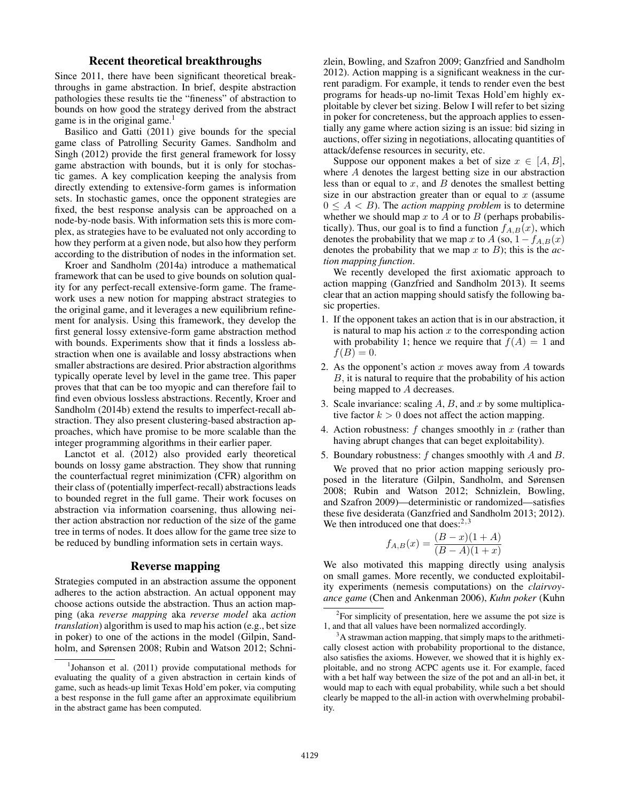#### Recent theoretical breakthroughs

Since 2011, there have been significant theoretical breakthroughs in game abstraction. In brief, despite abstraction pathologies these results tie the "fineness" of abstraction to bounds on how good the strategy derived from the abstract game is in the original game.<sup>1</sup>

Basilico and Gatti (2011) give bounds for the special game class of Patrolling Security Games. Sandholm and Singh (2012) provide the first general framework for lossy game abstraction with bounds, but it is only for stochastic games. A key complication keeping the analysis from directly extending to extensive-form games is information sets. In stochastic games, once the opponent strategies are fixed, the best response analysis can be approached on a node-by-node basis. With information sets this is more complex, as strategies have to be evaluated not only according to how they perform at a given node, but also how they perform according to the distribution of nodes in the information set.

Kroer and Sandholm (2014a) introduce a mathematical framework that can be used to give bounds on solution quality for any perfect-recall extensive-form game. The framework uses a new notion for mapping abstract strategies to the original game, and it leverages a new equilibrium refinement for analysis. Using this framework, they develop the first general lossy extensive-form game abstraction method with bounds. Experiments show that it finds a lossless abstraction when one is available and lossy abstractions when smaller abstractions are desired. Prior abstraction algorithms typically operate level by level in the game tree. This paper proves that that can be too myopic and can therefore fail to find even obvious lossless abstractions. Recently, Kroer and Sandholm (2014b) extend the results to imperfect-recall abstraction. They also present clustering-based abstraction approaches, which have promise to be more scalable than the integer programming algorithms in their earlier paper.

Lanctot et al. (2012) also provided early theoretical bounds on lossy game abstraction. They show that running the counterfactual regret minimization (CFR) algorithm on their class of (potentially imperfect-recall) abstractions leads to bounded regret in the full game. Their work focuses on abstraction via information coarsening, thus allowing neither action abstraction nor reduction of the size of the game tree in terms of nodes. It does allow for the game tree size to be reduced by bundling information sets in certain ways.

#### Reverse mapping

Strategies computed in an abstraction assume the opponent adheres to the action abstraction. An actual opponent may choose actions outside the abstraction. Thus an action mapping (aka *reverse mapping* aka *reverse model* aka *action translation*) algorithm is used to map his action (e.g., bet size in poker) to one of the actions in the model (Gilpin, Sandholm, and Sørensen 2008; Rubin and Watson 2012; Schnizlein, Bowling, and Szafron 2009; Ganzfried and Sandholm 2012). Action mapping is a significant weakness in the current paradigm. For example, it tends to render even the best programs for heads-up no-limit Texas Hold'em highly exploitable by clever bet sizing. Below I will refer to bet sizing in poker for concreteness, but the approach applies to essentially any game where action sizing is an issue: bid sizing in auctions, offer sizing in negotiations, allocating quantities of attack/defense resources in security, etc.

Suppose our opponent makes a bet of size  $x \in [A, B]$ , where A denotes the largest betting size in our abstraction less than or equal to  $x$ , and  $B$  denotes the smallest betting size in our abstraction greater than or equal to  $x$  (assume  $0 \leq A < B$ ). The *action mapping problem* is to determine whether we should map  $x$  to  $A$  or to  $B$  (perhaps probabilistically). Thus, our goal is to find a function  $f_{A,B}(x)$ , which denotes the probability that we map x to  $A$  (so,  $1 - f_{A,B}(x)$ ) denotes the probability that we map x to B); this is the *action mapping function*.

We recently developed the first axiomatic approach to action mapping (Ganzfried and Sandholm 2013). It seems clear that an action mapping should satisfy the following basic properties.

- 1. If the opponent takes an action that is in our abstraction, it is natural to map his action  $x$  to the corresponding action with probability 1; hence we require that  $f(A) = 1$  and  $f(B) = 0.$
- 2. As the opponent's action  $x$  moves away from  $A$  towards  $B$ , it is natural to require that the probability of his action being mapped to A decreases.
- 3. Scale invariance: scaling  $A$ ,  $B$ , and  $x$  by some multiplicative factor  $k > 0$  does not affect the action mapping.
- 4. Action robustness:  $f$  changes smoothly in  $x$  (rather than having abrupt changes that can beget exploitability).
- 5. Boundary robustness: f changes smoothly with A and B.

We proved that no prior action mapping seriously proposed in the literature (Gilpin, Sandholm, and Sørensen 2008; Rubin and Watson 2012; Schnizlein, Bowling, and Szafron 2009)—deterministic or randomized—satisfies these five desiderata (Ganzfried and Sandholm 2013; 2012). We then introduced one that does: $2,3$ 

$$
f_{A,B}(x) = \frac{(B-x)(1+A)}{(B-A)(1+x)}
$$

We also motivated this mapping directly using analysis on small games. More recently, we conducted exploitability experiments (nemesis computations) on the *clairvoyance game* (Chen and Ankenman 2006), *Kuhn poker* (Kuhn

<sup>&</sup>lt;sup>1</sup>Johanson et al. (2011) provide computational methods for evaluating the quality of a given abstraction in certain kinds of game, such as heads-up limit Texas Hold'em poker, via computing a best response in the full game after an approximate equilibrium in the abstract game has been computed.

 $2$ For simplicity of presentation, here we assume the pot size is 1, and that all values have been normalized accordingly.

 $3A$  strawman action mapping, that simply maps to the arithmetically closest action with probability proportional to the distance, also satisfies the axioms. However, we showed that it is highly exploitable, and no strong ACPC agents use it. For example, faced with a bet half way between the size of the pot and an all-in bet, it would map to each with equal probability, while such a bet should clearly be mapped to the all-in action with overwhelming probability.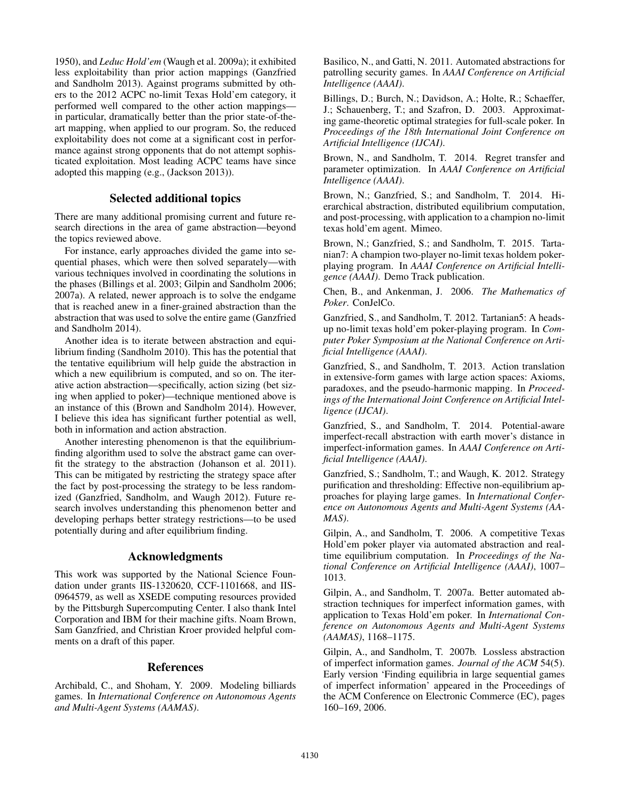1950), and *Leduc Hold'em* (Waugh et al. 2009a); it exhibited less exploitability than prior action mappings (Ganzfried and Sandholm 2013). Against programs submitted by others to the 2012 ACPC no-limit Texas Hold'em category, it performed well compared to the other action mappings in particular, dramatically better than the prior state-of-theart mapping, when applied to our program. So, the reduced exploitability does not come at a significant cost in performance against strong opponents that do not attempt sophisticated exploitation. Most leading ACPC teams have since adopted this mapping (e.g., (Jackson 2013)).

## Selected additional topics

There are many additional promising current and future research directions in the area of game abstraction—beyond the topics reviewed above.

For instance, early approaches divided the game into sequential phases, which were then solved separately—with various techniques involved in coordinating the solutions in the phases (Billings et al. 2003; Gilpin and Sandholm 2006; 2007a). A related, newer approach is to solve the endgame that is reached anew in a finer-grained abstraction than the abstraction that was used to solve the entire game (Ganzfried and Sandholm 2014).

Another idea is to iterate between abstraction and equilibrium finding (Sandholm 2010). This has the potential that the tentative equilibrium will help guide the abstraction in which a new equilibrium is computed, and so on. The iterative action abstraction—specifically, action sizing (bet sizing when applied to poker)—technique mentioned above is an instance of this (Brown and Sandholm 2014). However, I believe this idea has significant further potential as well, both in information and action abstraction.

Another interesting phenomenon is that the equilibriumfinding algorithm used to solve the abstract game can overfit the strategy to the abstraction (Johanson et al. 2011). This can be mitigated by restricting the strategy space after the fact by post-processing the strategy to be less randomized (Ganzfried, Sandholm, and Waugh 2012). Future research involves understanding this phenomenon better and developing perhaps better strategy restrictions—to be used potentially during and after equilibrium finding.

## Acknowledgments

This work was supported by the National Science Foundation under grants IIS-1320620, CCF-1101668, and IIS-0964579, as well as XSEDE computing resources provided by the Pittsburgh Supercomputing Center. I also thank Intel Corporation and IBM for their machine gifts. Noam Brown, Sam Ganzfried, and Christian Kroer provided helpful comments on a draft of this paper.

## References

Archibald, C., and Shoham, Y. 2009. Modeling billiards games. In *International Conference on Autonomous Agents and Multi-Agent Systems (AAMAS)*.

Basilico, N., and Gatti, N. 2011. Automated abstractions for patrolling security games. In *AAAI Conference on Artificial Intelligence (AAAI)*.

Billings, D.; Burch, N.; Davidson, A.; Holte, R.; Schaeffer, J.; Schauenberg, T.; and Szafron, D. 2003. Approximating game-theoretic optimal strategies for full-scale poker. In *Proceedings of the 18th International Joint Conference on Artificial Intelligence (IJCAI)*.

Brown, N., and Sandholm, T. 2014. Regret transfer and parameter optimization. In *AAAI Conference on Artificial Intelligence (AAAI)*.

Brown, N.; Ganzfried, S.; and Sandholm, T. 2014. Hierarchical abstraction, distributed equilibrium computation, and post-processing, with application to a champion no-limit texas hold'em agent. Mimeo.

Brown, N.; Ganzfried, S.; and Sandholm, T. 2015. Tartanian7: A champion two-player no-limit texas holdem pokerplaying program. In *AAAI Conference on Artificial Intelligence (AAAI)*. Demo Track publication.

Chen, B., and Ankenman, J. 2006. *The Mathematics of Poker*. ConJelCo.

Ganzfried, S., and Sandholm, T. 2012. Tartanian5: A headsup no-limit texas hold'em poker-playing program. In *Computer Poker Symposium at the National Conference on Artificial Intelligence (AAAI)*.

Ganzfried, S., and Sandholm, T. 2013. Action translation in extensive-form games with large action spaces: Axioms, paradoxes, and the pseudo-harmonic mapping. In *Proceedings of the International Joint Conference on Artificial Intelligence (IJCAI)*.

Ganzfried, S., and Sandholm, T. 2014. Potential-aware imperfect-recall abstraction with earth mover's distance in imperfect-information games. In *AAAI Conference on Artificial Intelligence (AAAI)*.

Ganzfried, S.; Sandholm, T.; and Waugh, K. 2012. Strategy purification and thresholding: Effective non-equilibrium approaches for playing large games. In *International Conference on Autonomous Agents and Multi-Agent Systems (AA-MAS)*.

Gilpin, A., and Sandholm, T. 2006. A competitive Texas Hold'em poker player via automated abstraction and realtime equilibrium computation. In *Proceedings of the National Conference on Artificial Intelligence (AAAI)*, 1007– 1013.

Gilpin, A., and Sandholm, T. 2007a. Better automated abstraction techniques for imperfect information games, with application to Texas Hold'em poker. In *International Conference on Autonomous Agents and Multi-Agent Systems (AAMAS)*, 1168–1175.

Gilpin, A., and Sandholm, T. 2007b. Lossless abstraction of imperfect information games. *Journal of the ACM* 54(5). Early version 'Finding equilibria in large sequential games of imperfect information' appeared in the Proceedings of the ACM Conference on Electronic Commerce (EC), pages 160–169, 2006.